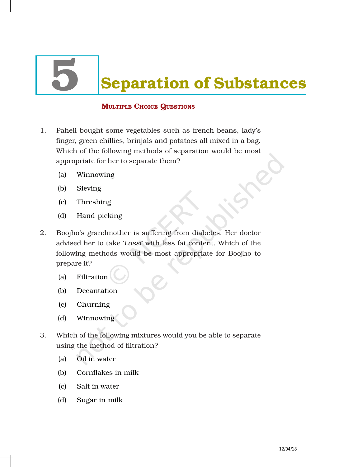# **Separation of Substances**

# MULTIPLE CHOICE QUESTIONS

- 1. Paheli bought some vegetables such as french beans, lady's finger, green chillies, brinjals and potatoes all mixed in a bag. Which of the following methods of separation would be most appropriate for her to separate them?
	- (a) Winnowing
	- (b) Sieving
	- (c) Threshing
	- (d) Hand picking
- 2. Boojho's grandmother is suffering from diabetes. Her doctor advised her to take '*Lassi*' with less fat content. Which of the following methods would be most appropriate for Boojho to prepare it?
	- (a) Filtration
	- (b) Decantation
	- (c) Churning
	- (d) Winnowing
- 3. Which of the following mixtures would you be able to separate using the method of filtration?
	- (a) Oil in water
	- (b) Cornflakes in milk
	- (c) Salt in water
	- (d) Sugar in milk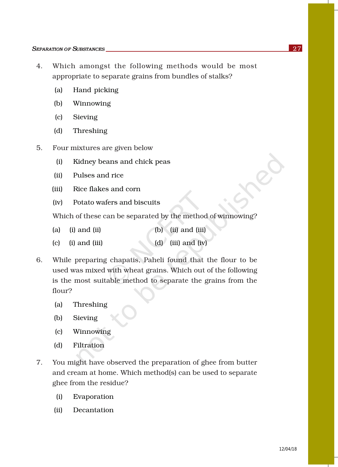- 4. Which amongst the following methods would be most appropriate to separate grains from bundles of stalks?
	- (a) Hand picking
	- (b) Winnowing
	- (c) Sieving
	- (d) Threshing
- 5. Four mixtures are given below
	- (i) Kidney beans and chick peas
	- (ii) Pulses and rice
	- (iii) Rice flakes and corn
	- (iv) Potato wafers and biscuits

Which of these can be separated by the method of winnowing?

- (a) (i) and (ii)  $\qquad$  (b) (ii) and (iii)
- (c) (i) and (iii) (d) (iii) and (iv)
- 6. While preparing chapatis, Paheli found that the flour to be used was mixed with wheat grains. Which out of the following is the most suitable method to separate the grains from the flour?
	- (a) Threshing
	- (b) Sieving
	- (c) Winnowing
	- (d) Filtration
- 7. You might have observed the preparation of ghee from butter and cream at home. Which method(s) can be used to separate ghee from the residue?
	- (i) Evaporation
	- (ii) Decantation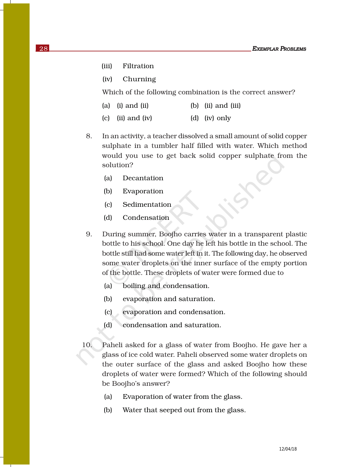- (iii) Filtration
- (iv) Churning

Which of the following combination is the correct answer?

| $(a)$ (i) and (ii)  | $(b)$ (ii) and (iii) |
|---------------------|----------------------|
| $(c)$ (ii) and (iv) | (d) (iv) only        |

- 8. In an activity, a teacher dissolved a small amount of solid copper sulphate in a tumbler half filled with water. Which method would you use to get back solid copper sulphate from the solution?
	- (a) Decantation
	- (b) Evaporation
	- (c) Sedimentation
	- (d) Condensation
- 9. During summer, Boojho carries water in a transparent plastic bottle to his school. One day he left his bottle in the school. The bottle still had some water left in it. The following day, he observed some water droplets on the inner surface of the empty portion of the bottle. These droplets of water were formed due to
	- (a) boiling and condensation.
	- (b) evaporation and saturation.
	- (c) evaporation and condensation.
	- (d) condensation and saturation.
- 10. Paheli asked for a glass of water from Boojho. He gave her a glass of ice cold water. Paheli observed some water droplets on the outer surface of the glass and asked Boojho how these droplets of water were formed? Which of the following should be Boojho's answer?
	- (a) Evaporation of water from the glass.
	- (b) Water that seeped out from the glass.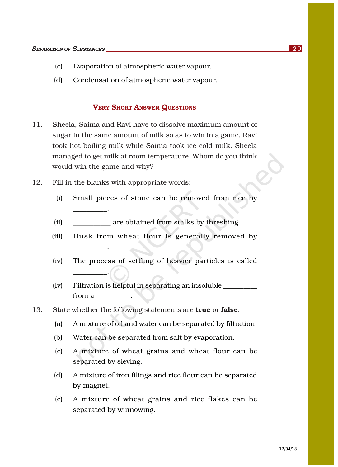- (c) Evaporation of atmospheric water vapour.
- (d) Condensation of atmospheric water vapour.

#### VERY SHORT ANSWER QUESTIONS

- 11. Sheela, Saima and Ravi have to dissolve maximum amount of sugar in the same amount of milk so as to win in a game. Ravi took hot boiling milk while Saima took ice cold milk. Sheela managed to get milk at room temperature. Whom do you think would win the game and why?
- 12. Fill in the blanks with appropriate words:

\_\_\_\_\_\_\_\_\_\_.

\_\_\_\_\_\_\_\_\_\_.

\_\_\_\_\_\_\_\_\_\_.

- (i) Small pieces of stone can be removed from rice by
- (ii) are obtained from stalks by threshing.
- (iii) Husk from wheat flour is generally removed by
- (iv) The process of settling of heavier particles is called
- (iv) Filtration is helpful in separating an insoluble \_\_\_\_\_\_\_\_\_\_ from a  $\qquad \qquad$ .
- 13. State whether the following statements are **true** or **false**.
	- (a) A mixture of oil and water can be separated by filtration.
	- (b) Water can be separated from salt by evaporation.
	- (c) A mixture of wheat grains and wheat flour can be separated by sieving.
	- (d) A mixture of iron filings and rice flour can be separated by magnet.
	- (e) A mixture of wheat grains and rice flakes can be separated by winnowing.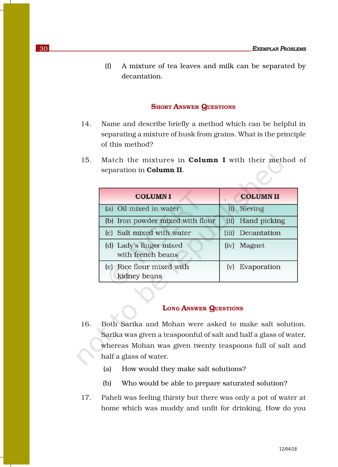(f) A mixture of tea leaves and milk can be separated by decantation.

### **SHORT ANSWER QUESTIONS**

- 14. Name and describe briefly a method which can be helpful in separating a mixture of husk from grains. What is the principle of this method?
- 15. Match the mixtures in **Column I** with their method of separation in Column II.

| <b>COLUMNI</b>                               | <b>COLUMN II</b>  |
|----------------------------------------------|-------------------|
| (a) Oil mixed in water                       | Sieving<br>(i)    |
| (b) Iron powder mixed with flour             | (ii) Hand picking |
| (c) Salt mixed with water                    | (iii) Decantation |
| (d) Lady's finger mixed<br>with french beans | (iv) Magnet       |
| (e) Rice flour mixed with<br>kidney beans    | (v) Evaporation   |

## LONG ANSWER QUESTIONS

- 16. Both Sarika and Mohan were asked to make salt solution. Sarika was given a teaspoonful of salt and half a glass of water, whereas Mohan was given twenty teaspoons full of salt and half a glass of water.
	- (a) How would they make salt solutions?
	- (b) Who would be able to prepare saturated solution?
- 17. Paheli was feeling thirsty but there was only a pot of water at home which was muddy and unfit for drinking. How do you